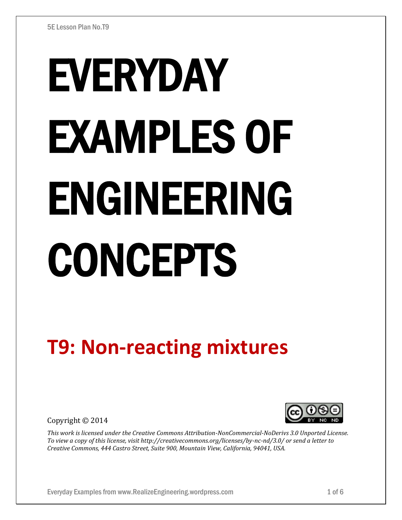# EVERYDAY EXAMPLES OF ENGINEERING CONCEPTS

# **T9: Non-reacting mixtures**

Copyright © 2014



*This work is licensed under the Creative Commons Attribution-NonCommercial-NoDerivs 3.0 Unported License. To view a copy of this license, visit http://creativecommons.org/licenses/by-nc-nd/3.0/ or send a letter to Creative Commons, 444 Castro Street, Suite 900, Mountain View, California, 94041, USA.*

Everyday Examples from www.RealizeEngineering.wordpress.com 1 of 6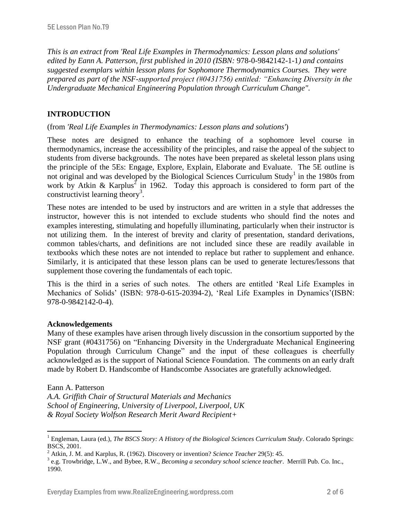*This is an extract from 'Real Life Examples in Thermodynamics: Lesson plans and solutions' edited by Eann A. Patterson, first published in 2010 (ISBN:* 978-0-9842142-1-1*) and contains suggested exemplars within lesson plans for Sophomore Thermodynamics Courses. They were prepared as part of the NSF-supported project (#0431756) entitled: "Enhancing Diversity in the Undergraduate Mechanical Engineering Population through Curriculum Change".* 

# **INTRODUCTION**

## (from *'Real Life Examples in Thermodynamics: Lesson plans and solutions'*)

These notes are designed to enhance the teaching of a sophomore level course in thermodynamics, increase the accessibility of the principles, and raise the appeal of the subject to students from diverse backgrounds. The notes have been prepared as skeletal lesson plans using the principle of the 5Es: Engage, Explore, Explain, Elaborate and Evaluate. The 5E outline is not original and was developed by the Biological Sciences Curriculum Study<sup>1</sup> in the 1980s from work by Atkin & Karplus<sup>2</sup> in 1962. Today this approach is considered to form part of the constructivist learning theory<sup>3</sup>.

These notes are intended to be used by instructors and are written in a style that addresses the instructor, however this is not intended to exclude students who should find the notes and examples interesting, stimulating and hopefully illuminating, particularly when their instructor is not utilizing them. In the interest of brevity and clarity of presentation, standard derivations, common tables/charts, and definitions are not included since these are readily available in textbooks which these notes are not intended to replace but rather to supplement and enhance. Similarly, it is anticipated that these lesson plans can be used to generate lectures/lessons that supplement those covering the fundamentals of each topic.

This is the third in a series of such notes. The others are entitled 'Real Life Examples in Mechanics of Solids' (ISBN: 978-0-615-20394-2), 'Real Life Examples in Dynamics'(ISBN: 978-0-9842142-0-4).

#### **Acknowledgements**

Many of these examples have arisen through lively discussion in the consortium supported by the NSF grant (#0431756) on "Enhancing Diversity in the Undergraduate Mechanical Engineering Population through Curriculum Change" and the input of these colleagues is cheerfully acknowledged as is the support of National Science Foundation. The comments on an early draft made by Robert D. Handscombe of Handscombe Associates are gratefully acknowledged.

#### Eann A. Patterson

 $\overline{a}$ 

*A.A. Griffith Chair of Structural Materials and Mechanics School of Engineering, University of Liverpool, Liverpool, UK & Royal Society Wolfson Research Merit Award Recipient+*

<sup>&</sup>lt;sup>1</sup> Engleman, Laura (ed.), *The BSCS Story: A History of the Biological Sciences Curriculum Study*. Colorado Springs: BSCS, 2001.

<sup>2</sup> Atkin, J. M. and Karplus, R. (1962). Discovery or invention? *Science Teacher* 29(5): 45.

<sup>3</sup> e.g. Trowbridge, L.W., and Bybee, R.W., *Becoming a secondary school science teacher*. Merrill Pub. Co. Inc., 1990.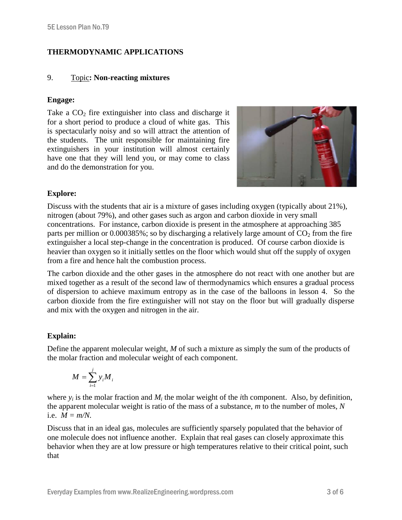# **THERMODYNAMIC APPLICATIONS**

# 9. Topic**: Non-reacting mixtures**

# **Engage:**

Take a  $CO<sub>2</sub>$  fire extinguisher into class and discharge it for a short period to produce a cloud of white gas. This is spectacularly noisy and so will attract the attention of the students. The unit responsible for maintaining fire extinguishers in your institution will almost certainly have one that they will lend you, or may come to class and do the demonstration for you.



# **Explore:**

Discuss with the students that air is a mixture of gases including oxygen (typically about 21%), nitrogen (about 79%), and other gases such as argon and carbon dioxide in very small concentrations. For instance, carbon dioxide is present in the atmosphere at approaching 385 parts per million or 0.000385%; so by discharging a relatively large amount of  $CO<sub>2</sub>$  from the fire extinguisher a local step-change in the concentration is produced. Of course carbon dioxide is heavier than oxygen so it initially settles on the floor which would shut off the supply of oxygen from a fire and hence halt the combustion process.

The carbon dioxide and the other gases in the atmosphere do not react with one another but are mixed together as a result of the second law of thermodynamics which ensures a gradual process of dispersion to achieve maximum entropy as in the case of the balloons in lesson 4. So the carbon dioxide from the fire extinguisher will not stay on the floor but will gradually disperse and mix with the oxygen and nitrogen in the air.

# **Explain:**

Define the apparent molecular weight, *M* of such a mixture as simply the sum of the products of the molar fraction and molecular weight of each component.

$$
M=\sum_{i=1}^j y_i M_i
$$

where  $y_i$  is the molar fraction and  $M_i$  the molar weight of the *i*th component. Also, by definition, the apparent molecular weight is ratio of the mass of a substance, *m* to the number of moles, *N* i.e.  $M = m/N$ .

Discuss that in an ideal gas, molecules are sufficiently sparsely populated that the behavior of one molecule does not influence another. Explain that real gases can closely approximate this behavior when they are at low pressure or high temperatures relative to their critical point, such that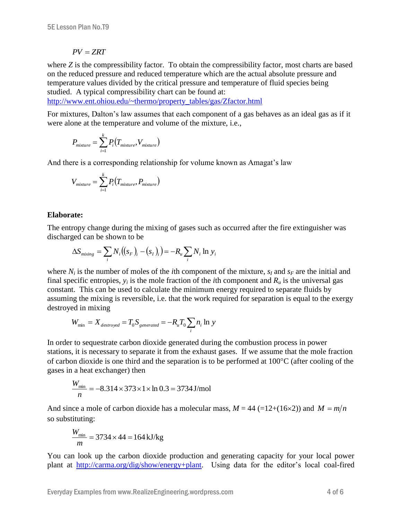#### $PV = ZRT$

where *Z* is the compressibility factor. To obtain the compressibility factor, most charts are based on the reduced pressure and reduced temperature which are the actual absolute pressure and temperature values divided by the critical pressure and temperature of fluid species being studied. A typical compressibility chart can be found at:

[http://www.ent.ohiou.edu/~thermo/property\\_tables/gas/Zfactor.html](http://www.ent.ohiou.edu/~thermo/property_tables/gas/Zfactor.html)

For mixtures, Dalton's law assumes that each component of a gas behaves as an ideal gas as if it were alone at the temperature and volume of the mixture, i.e.,

$$
P_{mixture} = \sum_{i=1}^{k} P_i(T_{mixture}, V_{mixture})
$$

And there is a corresponding relationship for volume known as Amagat's law

$$
V_{mixture} = \sum_{i=1}^{k} P_i(T_{mixture}, P_{mixture})
$$

#### **Elaborate:**

The entropy change during the mixing of gases such as occurred after the fire extinguisher was discharged can be shown to be

$$
\Delta S_{mixing} = \sum_i N_i ((s_F)_i - (s_I)_i) = -R_i \sum_i N_i \ln y_i
$$

where  $N_i$  is the number of moles of the *i*th component of the mixture,  $s_I$  and  $s_F$  are the initial and final specific entropies,  $y_i$  is the mole fraction of the *i*th component and  $R_u$  is the universal gas constant. This can be used to calculate the minimum energy required to separate fluids by assuming the mixing is reversible, i.e. that the work required for separation is equal to the exergy destroyed in mixing

$$
W_{\min} = X_{\text{destroyed}} = T_0 S_{\text{generated}} = -R_u T_0 \sum_i n_i \ln y
$$

In order to sequestrate carbon dioxide generated during the combustion process in power stations, it is necessary to separate it from the exhaust gases. If we assume that the mole fraction of carbon dioxide is one third and the separation is to be performed at  $100^{\circ}$ C (after cooling of the gases in a heat exchanger) then

$$
\frac{W_{\text{min}}}{n} = -8.314 \times 373 \times 1 \times \ln 0.3 = 3734 \text{ J/mol}
$$

And since a mole of carbon dioxide has a molecular mass,  $M = 44$  (=12+(16×2)) and  $M = m/n$ so substituting:

$$
\frac{W_{\text{min}}}{m} = 3734 \times 44 = 164 \text{ kJ/kg}
$$

You can look up the carbon dioxide production and generating capacity for your local power plant at [http://carma.org/dig/show/energy+plant.](http://carma.org/dig/show/energy+plant) Using data for the editor's local coal-fired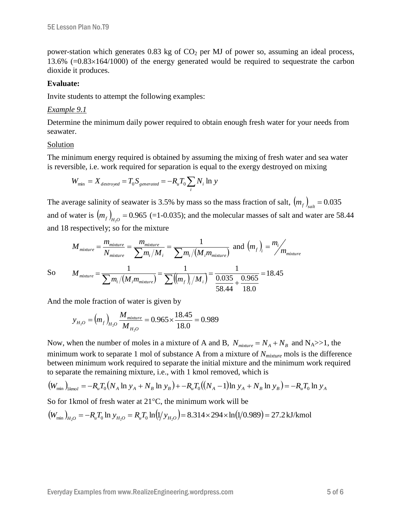power-station which generates  $0.83$  kg of  $CO<sub>2</sub>$  per MJ of power so, assuming an ideal process, 13.6%  $(=0.83\times164/1000)$  of the energy generated would be required to sequestrate the carbon dioxide it produces.

### **Evaluate:**

Invite students to attempt the following examples:

### *Example 9.1*

Determine the minimum daily power required to obtain enough fresh water for your needs from seawater.

### Solution

The minimum energy required is obtained by assuming the mixing of fresh water and sea water is reversible, i.e. work required for separation is equal to the exergy destroyed on mixing

$$
W_{\min} = X_{\text{destroyed}} = T_0 S_{\text{generated}} = -R_u T_0 \sum_i N_i \ln y
$$

The average salinity of seawater is 3.5% by mass so the mass fraction of salt,  $\left(m_f\right)_{\text{sat}} = 0.035$ and of water is  $(m_f)_{H_2O} = 0.965$  (=1-0.035); and the molecular masses of salt and water are 58.44 and 18 respectively; so for the mixture

$$
M_{mixture} = \frac{m_{mixture}}{N_{mixture}} = \frac{m_{mixture}}{\sum m_i / M_i} = \frac{1}{\sum m_i / (M_i m_{mixture})} \text{ and } (m_f)_i = \frac{m_i}{m_{mixture}}
$$

$$
\overline{S}_0
$$

 $(M, m_{mixture}) \sum (m_f)/M_i$ 18.45 18.0 0.965 58.44 0.035 1  $\frac{1}{\sqrt{1-\frac{1}{2}}}\frac{1}{\sqrt{1-\frac{1}{2}}}\frac{1}{\sqrt{1-\frac{1}{2}}}\frac{1}{\sqrt{1-\frac{1}{2}}}\frac{1}{\sqrt{1-\frac{1}{2}}}\frac{1}{\sqrt{1-\frac{1}{2}}}\frac{1}{\sqrt{1-\frac{1}{2}}}\frac{1}{\sqrt{1-\frac{1}{2}}}\frac{1}{\sqrt{1-\frac{1}{2}}}\frac{1}{\sqrt{1-\frac{1}{2}}}\frac{1}{\sqrt{1-\frac{1}{2}}}\frac{1}{\sqrt{1-\frac{1}{2}}}\frac{1}{\sqrt{1-\frac{1}{2}}}\frac{1}{\sqrt{1-\$  $\ddot{}$  $=\frac{1}{\sum m_i/(M_i m_{mixture})} = \frac{1}{\sum ((m_f)_i/M_i)} =$  $\frac{mixture}{\sum m_i/(M}$ , $m_{mixture})$   $\sum (m_f)/M$ *M*

And the mole fraction of water is given by

$$
y_{H_2O} = (m_f)_{H_2O} \frac{M_{mixture}}{M_{H_2O}} = 0.965 \times \frac{18.45}{18.0} = 0.989
$$

Now, when the number of moles in a mixture of A and B,  $N_{mixture} = N_A + N_B$  and N<sub>A</sub>>>1, the minimum work to separate 1 mol of substance A from a mixture of *Nmixture* mols is the difference between minimum work required to separate the initial mixture and the minimum work required to separate the remaining mixture, i.e., with 1 kmol removed, which is

$$
(W_{\min})_{kmol} = -R_u T_0 (N_A \ln y_A + N_B \ln y_B) + -R_u T_0 ((N_A - 1) \ln y_A + N_B \ln y_B) = -R_u T_0 \ln y_A
$$

So for 1 kmol of fresh water at  $21^{\circ}$ C, the minimum work will be

$$
(W_{\min})_{H_2O} = -R_u T_0 \ln y_{H_2O} = R_u T_0 \ln(1/y_{H_2O}) = 8.314 \times 294 \times \ln(1/0.989) = 27.2 \text{ kJ/kmol}
$$